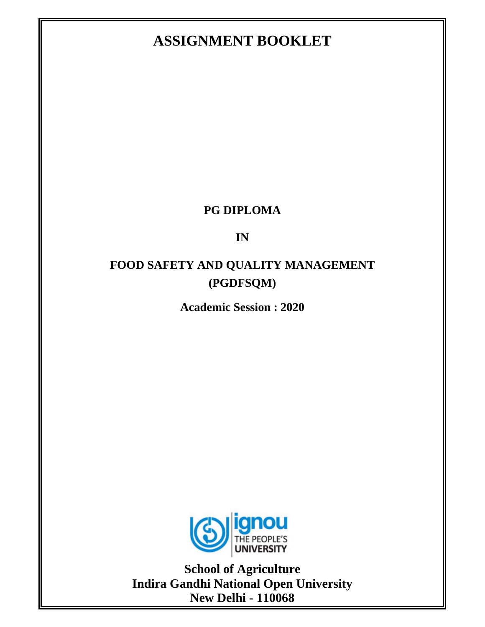# **ASSIGNMENT BOOKLET**

## **PG DIPLOMA**

# **IN**

# **FOOD SAFETY AND QUALITY MANAGEMENT (PGDFSQM)**

**Academic Session : 2020** 



**School of Agriculture Indira Gandhi National Open University New Delhi - 110068**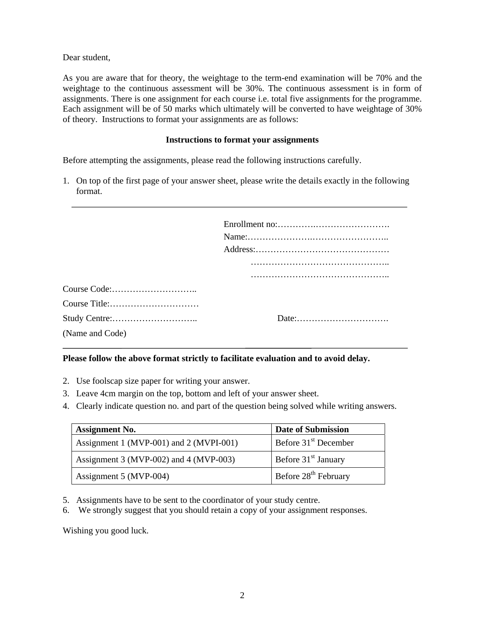Dear student,

As you are aware that for theory, the weightage to the term-end examination will be 70% and the weightage to the continuous assessment will be 30%. The continuous assessment is in form of assignments. There is one assignment for each course i.e. total five assignments for the programme. Each assignment will be of 50 marks which ultimately will be converted to have weightage of 30% of theory. Instructions to format your assignments are as follows:

#### **Instructions to format your assignments**

Before attempting the assignments, please read the following instructions carefully.

1. On top of the first page of your answer sheet, please write the details exactly in the following format.

|                 | $Address: \ldots \ldots \ldots \ldots \ldots \ldots \ldots \ldots \ldots \ldots \ldots \ldots \ldots$ |
|-----------------|-------------------------------------------------------------------------------------------------------|
|                 |                                                                                                       |
|                 |                                                                                                       |
|                 |                                                                                                       |
|                 |                                                                                                       |
|                 |                                                                                                       |
| (Name and Code) |                                                                                                       |

#### **Please follow the above format strictly to facilitate evaluation and to avoid delay.**

- 2. Use foolscap size paper for writing your answer.
- 3. Leave 4cm margin on the top, bottom and left of your answer sheet.
- 4. Clearly indicate question no. and part of the question being solved while writing answers.

| <b>Assignment No.</b>                   | <b>Date of Submission</b>        |
|-----------------------------------------|----------------------------------|
| Assignment 1 (MVP-001) and 2 (MVPI-001) | Before 31 <sup>st</sup> December |
| Assignment 3 (MVP-002) and 4 (MVP-003)  | Before 31 <sup>st</sup> January  |
| Assignment 5 (MVP-004)                  | Before 28 <sup>th</sup> February |

- 5. Assignments have to be sent to the coordinator of your study centre.
- 6. We strongly suggest that you should retain a copy of your assignment responses.

Wishing you good luck.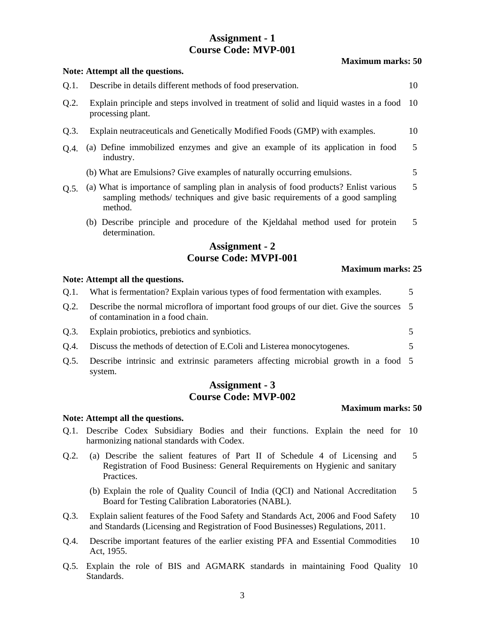## **Assignment - 1 Course Code: MVP-001**

|         | Note: Attempt all the questions.                                                                                                                                               |      |
|---------|--------------------------------------------------------------------------------------------------------------------------------------------------------------------------------|------|
| Q.1.    | Describe in details different methods of food preservation.                                                                                                                    | 10   |
| Q.2.    | Explain principle and steps involved in treatment of solid and liquid wastes in a food<br>processing plant.                                                                    | 10   |
| Q.3.    | Explain neutraceuticals and Genetically Modified Foods (GMP) with examples.                                                                                                    | 10   |
| Q.4.    | (a) Define immobilized enzymes and give an example of its application in food<br>industry.                                                                                     | 5    |
|         | (b) What are Emulsions? Give examples of naturally occurring emulsions.                                                                                                        | 5    |
| Q.5.    | (a) What is importance of sampling plan in analysis of food products? Enlist various<br>sampling methods/ techniques and give basic requirements of a good sampling<br>method. | 5    |
|         | (b) Describe principle and procedure of the Kjeldahal method used for protein<br>determination.                                                                                | 5    |
|         | <b>Assignment - 2</b>                                                                                                                                                          |      |
|         | <b>Course Code: MVPI-001</b>                                                                                                                                                   |      |
|         | <b>Maximum marks: 25</b><br>Note: Attempt all the questions.                                                                                                                   |      |
|         |                                                                                                                                                                                |      |
| $Q.1$ . | What is fermentation? Explain various types of food fermentation with examples.                                                                                                | 5    |
| $Q.2$ . | Describe the normal microflora of important food groups of our diet. Give the sources<br>of contamination in a food chain.                                                     | 5    |
| $Q.3$ . | Explain probiotics, prebiotics and synbiotics.                                                                                                                                 | 5    |
| Q.4.    | Discuss the methods of detection of E.Coli and Listerea monocytogenes.                                                                                                         | 5    |
| Q.5.    | Describe intrinsic and extrinsic parameters affecting microbial growth in a food 5<br>system.                                                                                  |      |
|         | <b>Assignment - 3</b>                                                                                                                                                          |      |
|         | <b>Course Code: MVP-002</b>                                                                                                                                                    |      |
|         | <b>Maximum marks: 50</b>                                                                                                                                                       |      |
| Q.1.    | Note: Attempt all the questions.<br>Describe Codex Subsidiary Bodies and their functions. Explain the need for<br>harmonizing national standards with Codex.                   | - 10 |

- Registration of Food Business: General Requirements on Hygienic and sanitary Practices.
	- (b) Explain the role of Quality Council of India (QCI) and National Accreditation Board for Testing Calibration Laboratories (NABL). 5
- Q.3. Explain salient features of the Food Safety and Standards Act, 2006 and Food Safety and Standards (Licensing and Registration of Food Businesses) Regulations, 2011. 10
- Q.4. Describe important features of the earlier existing PFA and Essential Commodities Act, 1955. 10
- Q.5. Explain the role of BIS and AGMARK standards in maintaining Food Quality 10 Standards.

#### **Maximum marks: 50**